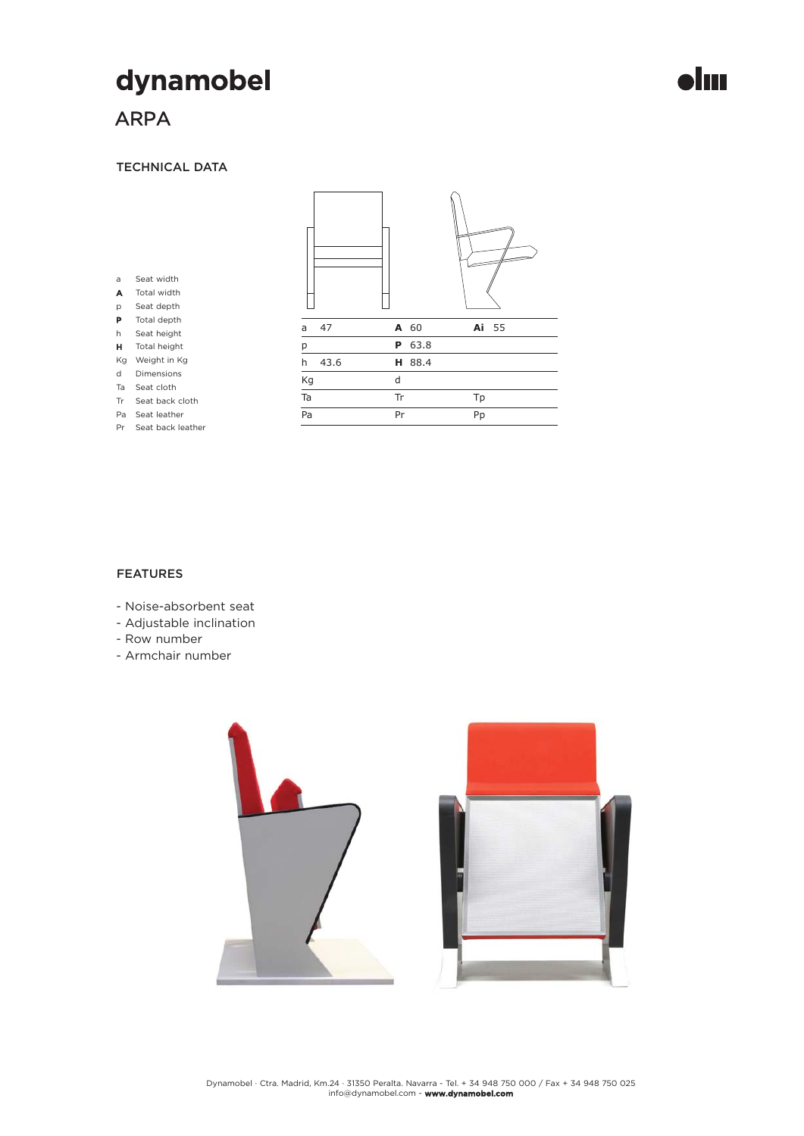# dynamobel

# ARPA

a A p P h

### TECHNICAL DATA



# FEATURES

- Noise-absorbent seat
- Adjustable inclination
- Row number
- Armchair number